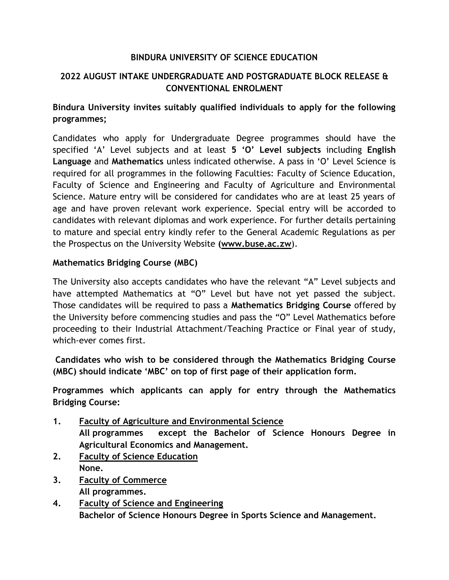## **BINDURA UNIVERSITY OF SCIENCE EDUCATION**

# **2022 AUGUST INTAKE UNDERGRADUATE AND POSTGRADUATE BLOCK RELEASE & CONVENTIONAL ENROLMENT**

# **Bindura University invites suitably qualified individuals to apply for the following programmes;**

Candidates who apply for Undergraduate Degree programmes should have the specified 'A' Level subjects and at least **5 'O' Level subjects** including **English Language** and **Mathematics** unless indicated otherwise. A pass in 'O' Level Science is required for all programmes in the following Faculties: Faculty of Science Education, Faculty of Science and Engineering and Faculty of Agriculture and Environmental Science. Mature entry will be considered for candidates who are at least 25 years of age and have proven relevant work experience. Special entry will be accorded to candidates with relevant diplomas and work experience. For further details pertaining to mature and special entry kindly refer to the General Academic Regulations as per the Prospectus on the University Website **[\(www.buse.ac.zw](http://www.buse.ac.zw/)**).

## **Mathematics Bridging Course (MBC)**

The University also accepts candidates who have the relevant "A" Level subjects and have attempted Mathematics at "O" Level but have not yet passed the subject. Those candidates will be required to pass a **Mathematics Bridging Course** offered by the University before commencing studies and pass the "O" Level Mathematics before proceeding to their Industrial Attachment/Teaching Practice or Final year of study, which-ever comes first.

**Candidates who wish to be considered through the Mathematics Bridging Course (MBC) should indicate 'MBC' on top of first page of their application form.** 

**Programmes which applicants can apply for entry through the Mathematics Bridging Course:**

- **1. Faculty of Agriculture and Environmental Science All programmes except the Bachelor of Science Honours Degree in Agricultural Economics and Management.**
- **2. Faculty of Science Education None.**
- **3. Faculty of Commerce All programmes.**
- **4. Faculty of Science and Engineering Bachelor of Science Honours Degree in Sports Science and Management.**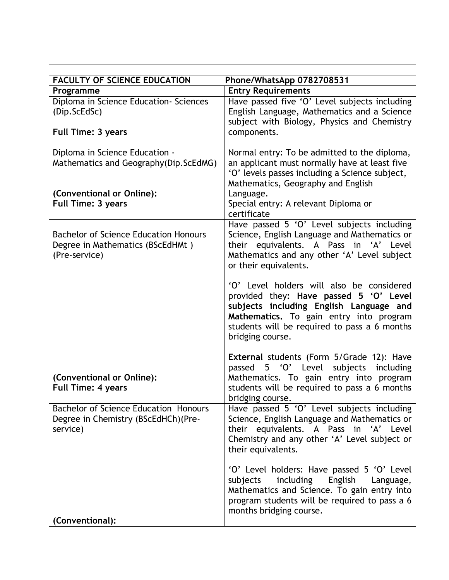| <b>FACULTY OF SCIENCE EDUCATION</b>                                                               | Phone/WhatsApp 0782708531                                                                                                                                                                                                                     |
|---------------------------------------------------------------------------------------------------|-----------------------------------------------------------------------------------------------------------------------------------------------------------------------------------------------------------------------------------------------|
| Programme                                                                                         | <b>Entry Requirements</b>                                                                                                                                                                                                                     |
| Diploma in Science Education- Sciences<br>(Dip.ScEdSc)                                            | Have passed five 'O' Level subjects including<br>English Language, Mathematics and a Science<br>subject with Biology, Physics and Chemistry                                                                                                   |
| <b>Full Time: 3 years</b>                                                                         | components.                                                                                                                                                                                                                                   |
| Diploma in Science Education -<br>Mathematics and Geography(Dip.ScEdMG)                           | Normal entry: To be admitted to the diploma,<br>an applicant must normally have at least five<br>'O' levels passes including a Science subject,<br>Mathematics, Geography and English                                                         |
| (Conventional or Online):<br><b>Full Time: 3 years</b>                                            | Language.<br>Special entry: A relevant Diploma or<br>certificate                                                                                                                                                                              |
| <b>Bachelor of Science Education Honours</b><br>Degree in Mathematics (BScEdHMt)<br>(Pre-service) | Have passed 5 'O' Level subjects including<br>Science, English Language and Mathematics or<br>their equivalents. A Pass in 'A' Level<br>Mathematics and any other 'A' Level subject<br>or their equivalents.                                  |
|                                                                                                   | 'O' Level holders will also be considered<br>provided they: Have passed 5 'O' Level<br>subjects including English Language and<br>Mathematics. To gain entry into program<br>students will be required to pass a 6 months<br>bridging course. |
| (Conventional or Online):<br><b>Full Time: 4 years</b>                                            | <b>External students (Form 5/Grade 12): Have</b><br>5 'O' Level<br>subjects including<br>passed<br>Mathematics. To gain entry into program<br>students will be required to pass a 6 months<br>bridging course.                                |
| <b>Bachelor of Science Education Honours</b><br>Degree in Chemistry (BScEdHCh)(Pre-<br>service)   | Have passed 5 'O' Level subjects including<br>Science, English Language and Mathematics or<br>their equivalents. A Pass in 'A' Level<br>Chemistry and any other 'A' Level subject or<br>their equivalents.                                    |
| (Conventional):                                                                                   | 'O' Level holders: Have passed 5 'O' Level<br>English<br>including<br>subjects<br>Language,<br>Mathematics and Science. To gain entry into<br>program students will be required to pass a 6<br>months bridging course.                        |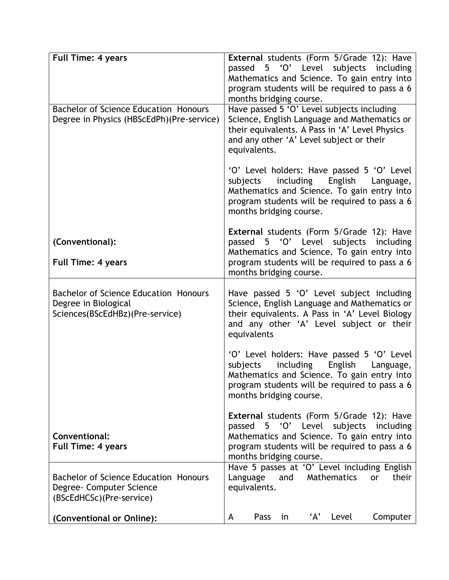| <b>Full Time: 4 years</b>                                                                        | External students (Form 5/Grade 12): Have<br>passed 5 'O' Level subjects including<br>Mathematics and Science. To gain entry into<br>program students will be required to pass a 6<br>months bridging course.                    |
|--------------------------------------------------------------------------------------------------|----------------------------------------------------------------------------------------------------------------------------------------------------------------------------------------------------------------------------------|
| <b>Bachelor of Science Education Honours</b><br>Degree in Physics (HBScEdPh)(Pre-service)        | Have passed 5 'O' Level subjects including<br>Science, English Language and Mathematics or<br>their equivalents. A Pass in 'A' Level Physics<br>and any other 'A' Level subject or their<br>equivalents.                         |
|                                                                                                  | 'O' Level holders: Have passed 5 'O' Level<br>including English<br>subjects<br>Language,<br>Mathematics and Science. To gain entry into<br>program students will be required to pass a 6<br>months bridging course.              |
| (Conventional):                                                                                  | <b>External students (Form 5/Grade 12): Have</b><br>5 'O' Level subjects including<br>passed                                                                                                                                     |
| <b>Full Time: 4 years</b>                                                                        | Mathematics and Science. To gain entry into<br>program students will be required to pass a 6<br>months bridging course.                                                                                                          |
| Bachelor of Science Education Honours<br>Degree in Biological<br>Sciences(BScEdHBz)(Pre-service) | Have passed 5 'O' Level subject including<br>Science, English Language and Mathematics or<br>their equivalents. A Pass in 'A' Level Biology<br>and any other 'A' Level subject or their<br>equivalents                           |
|                                                                                                  | 'O' Level holders: Have passed 5 'O' Level<br>including<br>English<br>subjects<br>Language,<br>Mathematics and Science. To gain entry into<br>program students will be required to pass a 6<br>months bridging course.           |
| Conventional:<br><b>Full Time: 4 years</b>                                                       | <b>External students (Form 5/Grade 12): Have</b><br>'O' Level<br>subjects<br>passed<br>5<br>including<br>Mathematics and Science. To gain entry into<br>program students will be required to pass a 6<br>months bridging course. |
| Bachelor of Science Education Honours<br>Degree- Computer Science<br>(BScEdHCSc)(Pre-service)    | Have 5 passes at 'O' Level including English<br>Mathematics<br>Language<br>and<br>their<br>or<br>equivalents.                                                                                                                    |
| (Conventional or Online):                                                                        | 'А'<br>Pass<br>in<br>Level<br>Computer<br>A                                                                                                                                                                                      |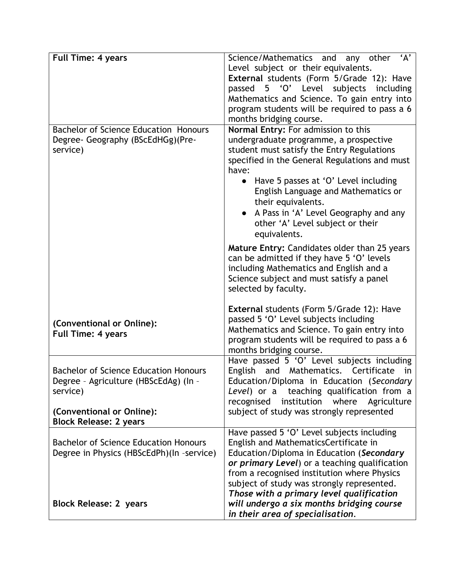| <b>Full Time: 4 years</b>                    | Science/Mathematics and any other 'A'               |
|----------------------------------------------|-----------------------------------------------------|
|                                              | Level subject or their equivalents.                 |
|                                              | External students (Form 5/Grade 12): Have           |
|                                              | passed 5 'O' Level<br>subjects<br>including         |
|                                              | Mathematics and Science. To gain entry into         |
|                                              | program students will be required to pass a 6       |
|                                              | months bridging course.                             |
| <b>Bachelor of Science Education Honours</b> | Normal Entry: For admission to this                 |
| Degree- Geography (BScEdHGg)(Pre-            | undergraduate programme, a prospective              |
| service)                                     | student must satisfy the Entry Regulations          |
|                                              | specified in the General Regulations and must       |
|                                              | have:                                               |
|                                              | Have 5 passes at 'O' Level including<br>$\bullet$   |
|                                              | English Language and Mathematics or                 |
|                                              | their equivalents.                                  |
|                                              | A Pass in 'A' Level Geography and any               |
|                                              | other 'A' Level subject or their                    |
|                                              | equivalents.                                        |
|                                              | <b>Mature Entry: Candidates older than 25 years</b> |
|                                              | can be admitted if they have 5 'O' levels           |
|                                              | including Mathematics and English and a             |
|                                              | Science subject and must satisfy a panel            |
|                                              | selected by faculty.                                |
|                                              |                                                     |
|                                              | <b>External students (Form 5/Grade 12): Have</b>    |
| (Conventional or Online):                    | passed 5 'O' Level subjects including               |
| Full Time: 4 years                           | Mathematics and Science. To gain entry into         |
|                                              | program students will be required to pass a 6       |
|                                              | months bridging course.                             |
|                                              | Have passed 5 'O' Level subjects including          |
| <b>Bachelor of Science Education Honours</b> | and Mathematics. Certificate<br>English<br>in       |
| Degree - Agriculture (HBScEdAg) (In -        | Education/Diploma in Education (Secondary           |
| service)                                     | teaching qualification from a<br>Level) or a        |
|                                              | institution where<br>recognised<br>Agriculture      |
| (Conventional or Online):                    | subject of study was strongly represented           |
| <b>Block Release: 2 years</b>                |                                                     |
|                                              | Have passed 5 'O' Level subjects including          |
| <b>Bachelor of Science Education Honours</b> | English and MathematicsCertificate in               |
| Degree in Physics (HBScEdPh)(In -service)    | Education/Diploma in Education (Secondary           |
|                                              | or primary Level) or a teaching qualification       |
|                                              | from a recognised institution where Physics         |
|                                              | subject of study was strongly represented.          |
|                                              | Those with a primary level qualification            |
| <b>Block Release: 2 years</b>                | will undergo a six months bridging course           |
|                                              | in their area of specialisation.                    |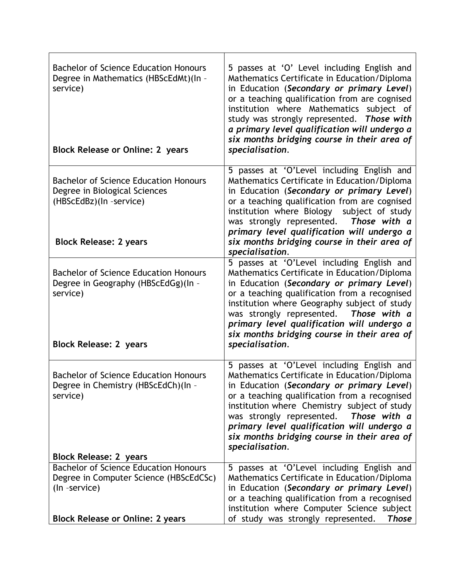| <b>Bachelor of Science Education Honours</b><br>Degree in Mathematics (HBScEdMt)(In -<br>service)<br><b>Block Release or Online: 2 years</b>       | 5 passes at 'O' Level including English and<br>Mathematics Certificate in Education/Diploma<br>in Education (Secondary or primary Level)<br>or a teaching qualification from are cognised<br>institution where Mathematics subject of<br>study was strongly represented. Those with<br>a primary level qualification will undergo a<br>six months bridging course in their area of<br>specialisation. |
|----------------------------------------------------------------------------------------------------------------------------------------------------|-------------------------------------------------------------------------------------------------------------------------------------------------------------------------------------------------------------------------------------------------------------------------------------------------------------------------------------------------------------------------------------------------------|
| <b>Bachelor of Science Education Honours</b><br>Degree in Biological Sciences<br>(HBScEdBz)(In -service)<br><b>Block Release: 2 years</b>          | 5 passes at 'O'Level including English and<br>Mathematics Certificate in Education/Diploma<br>in Education (Secondary or primary Level)<br>or a teaching qualification from are cognised<br>subject of study<br>institution where Biology<br>was strongly represented. Those with a<br>primary level qualification will undergo a<br>six months bridging course in their area of<br>specialisation.   |
| <b>Bachelor of Science Education Honours</b><br>Degree in Geography (HBScEdGg)(In -<br>service)<br><b>Block Release: 2 years</b>                   | 5 passes at 'O'Level including English and<br>Mathematics Certificate in Education/Diploma<br>in Education (Secondary or primary Level)<br>or a teaching qualification from a recognised<br>institution where Geography subject of study<br>was strongly represented. Those with a<br>primary level qualification will undergo a<br>six months bridging course in their area of<br>specialisation.    |
| <b>Bachelor of Science Education Honours</b><br>Degree in Chemistry (HBScEdCh)(In -<br>service)                                                    | 5 passes at 'O'Level including English and<br>Mathematics Certificate in Education/Diploma<br>in Education (Secondary or primary Level)<br>or a teaching qualification from a recognised<br>institution where Chemistry subject of study<br>was strongly represented.<br>Those with a<br>primary level qualification will undergo a<br>six months bridging course in their area of<br>specialisation. |
| <b>Block Release: 2 years</b>                                                                                                                      |                                                                                                                                                                                                                                                                                                                                                                                                       |
| <b>Bachelor of Science Education Honours</b><br>Degree in Computer Science (HBScEdCSc)<br>(In -service)<br><b>Block Release or Online: 2 years</b> | 5 passes at 'O'Level including English and<br>Mathematics Certificate in Education/Diploma<br>in Education (Secondary or primary Level)<br>or a teaching qualification from a recognised<br>institution where Computer Science subject<br>of study was strongly represented.<br><b>Those</b>                                                                                                          |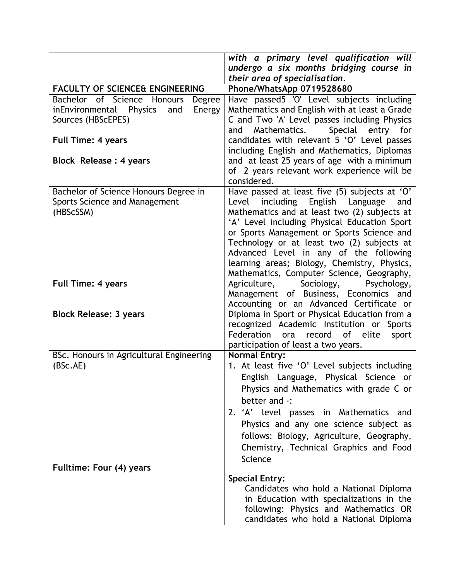|                                                    | with a primary level qualification will                                 |
|----------------------------------------------------|-------------------------------------------------------------------------|
|                                                    | undergo a six months bridging course in                                 |
|                                                    | their area of specialisation.                                           |
| <b>FACULTY OF SCIENCE&amp; ENGINEERING</b>         | Phone/WhatsApp 0719528680                                               |
| Bachelor of Science Honours<br>Degree              | Have passed5 'O' Level subjects including                               |
| inEnvironmental<br><b>Physics</b><br>and<br>Energy | Mathematics and English with at least a Grade                           |
| Sources (HBScEPES)                                 | C and Two 'A' Level passes including Physics                            |
|                                                    | Mathematics.<br>Special entry for<br>and                                |
| <b>Full Time: 4 years</b>                          | candidates with relevant 5 'O' Level passes                             |
|                                                    | including English and Mathematics, Diplomas                             |
| Block Release : 4 years                            | and at least 25 years of age with a minimum                             |
|                                                    | of 2 years relevant work experience will be                             |
|                                                    | considered.                                                             |
| Bachelor of Science Honours Degree in              | Have passed at least five (5) subjects at 'O'                           |
| Sports Science and Management                      | English Language<br>Level<br>including<br>and                           |
| (HBScSSM)                                          | Mathematics and at least two (2) subjects at                            |
|                                                    | 'A' Level including Physical Education Sport                            |
|                                                    | or Sports Management or Sports Science and                              |
|                                                    | Technology or at least two (2) subjects at                              |
|                                                    | Advanced Level in any of the following                                  |
|                                                    | learning areas; Biology, Chemistry, Physics,                            |
|                                                    | Mathematics, Computer Science, Geography,                               |
| <b>Full Time: 4 years</b>                          | Agriculture,<br>Sociology,<br>Psychology,                               |
|                                                    | Management of Business, Economics and                                   |
|                                                    | Accounting or an Advanced Certificate or                                |
| <b>Block Release: 3 years</b>                      | Diploma in Sport or Physical Education from a                           |
|                                                    | recognized Academic Institution or Sports<br>Federation ora<br>of elite |
|                                                    | record<br>sport                                                         |
| BSc. Honours in Agricultural Engineering           | participation of least a two years.<br><b>Normal Entry:</b>             |
| (BSc.AE)                                           | 1. At least five 'O' Level subjects including                           |
|                                                    |                                                                         |
|                                                    | English Language, Physical Science or                                   |
|                                                    | Physics and Mathematics with grade C or                                 |
|                                                    | better and -:                                                           |
|                                                    | 2. 'A' level passes in Mathematics and                                  |
|                                                    | Physics and any one science subject as                                  |
|                                                    | follows: Biology, Agriculture, Geography,                               |
|                                                    | Chemistry, Technical Graphics and Food                                  |
|                                                    | Science                                                                 |
| Fulltime: Four (4) years                           |                                                                         |
|                                                    | <b>Special Entry:</b>                                                   |
|                                                    | Candidates who hold a National Diploma                                  |
|                                                    | in Education with specializations in the                                |
|                                                    | following: Physics and Mathematics OR                                   |
|                                                    | candidates who hold a National Diploma                                  |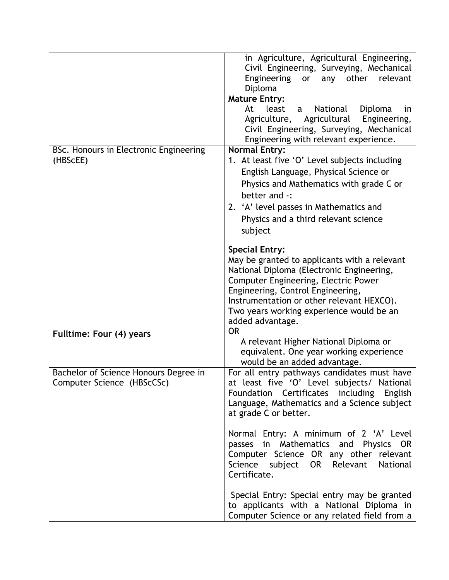|                                        | in Agriculture, Agricultural Engineering,<br>Civil Engineering, Surveying, Mechanical |
|----------------------------------------|---------------------------------------------------------------------------------------|
|                                        | Engineering<br>other relevant<br>or<br>any                                            |
|                                        | Diploma                                                                               |
|                                        | <b>Mature Entry:</b>                                                                  |
|                                        | At<br>least<br>National<br>Diploma<br>a<br>in.                                        |
|                                        | Agriculture, Agricultural<br>Engineering,                                             |
|                                        | Civil Engineering, Surveying, Mechanical                                              |
| BSc. Honours in Electronic Engineering | Engineering with relevant experience.<br><b>Normal Entry:</b>                         |
| (HBScEE)                               | 1. At least five 'O' Level subjects including                                         |
|                                        | English Language, Physical Science or                                                 |
|                                        | Physics and Mathematics with grade C or                                               |
|                                        | better and -:                                                                         |
|                                        | 2. 'A' level passes in Mathematics and                                                |
|                                        | Physics and a third relevant science                                                  |
|                                        | subject                                                                               |
|                                        |                                                                                       |
|                                        | <b>Special Entry:</b>                                                                 |
|                                        | May be granted to applicants with a relevant                                          |
|                                        | National Diploma (Electronic Engineering,                                             |
|                                        | Computer Engineering, Electric Power<br>Engineering, Control Engineering,             |
|                                        | Instrumentation or other relevant HEXCO).                                             |
|                                        | Two years working experience would be an                                              |
|                                        | added advantage.                                                                      |
| Fulltime: Four (4) years               | <b>OR</b>                                                                             |
|                                        | A relevant Higher National Diploma or                                                 |
|                                        | equivalent. One year working experience<br>would be an added advantage.               |
| Bachelor of Science Honours Degree in  | For all entry pathways candidates must have                                           |
| Computer Science (HBScCSc)             | at least five 'O' Level subjects/ National                                            |
|                                        | Foundation Certificates including English                                             |
|                                        | Language, Mathematics and a Science subject                                           |
|                                        | at grade C or better.                                                                 |
|                                        | Normal Entry: A minimum of 2 'A' Level                                                |
|                                        | passes in Mathematics and Physics OR                                                  |
|                                        | Computer Science OR any other relevant                                                |
|                                        | Science subject OR Relevant<br>National                                               |
|                                        | Certificate.                                                                          |
|                                        | Special Entry: Special entry may be granted                                           |
|                                        | to applicants with a National Diploma in                                              |
|                                        | Computer Science or any related field from a                                          |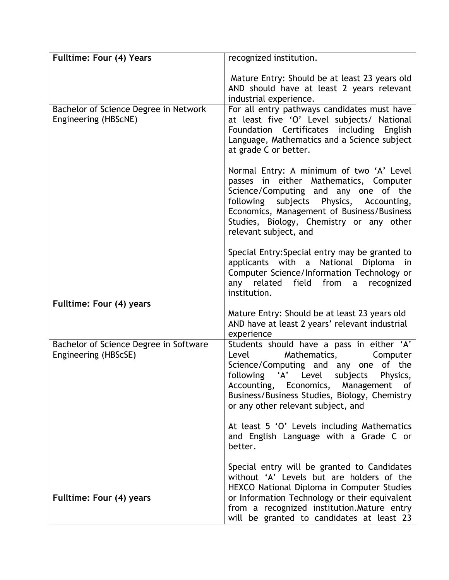| Fulltime: Four (4) Years                                       | recognized institution.                                                                                                                                                                                                                                                                                       |
|----------------------------------------------------------------|---------------------------------------------------------------------------------------------------------------------------------------------------------------------------------------------------------------------------------------------------------------------------------------------------------------|
|                                                                | Mature Entry: Should be at least 23 years old<br>AND should have at least 2 years relevant<br>industrial experience.                                                                                                                                                                                          |
| Bachelor of Science Degree in Network<br>Engineering (HBScNE)  | For all entry pathways candidates must have<br>at least five 'O' Level subjects/ National<br>Foundation Certificates including English<br>Language, Mathematics and a Science subject<br>at grade C or better.                                                                                                |
|                                                                | Normal Entry: A minimum of two 'A' Level<br>passes in either Mathematics, Computer<br>Science/Computing and any one of the<br>following subjects Physics, Accounting,<br>Economics, Management of Business/Business<br>Studies, Biology, Chemistry or any other<br>relevant subject, and                      |
|                                                                | Special Entry: Special entry may be granted to<br>applicants with a National<br>Diploma in<br>Computer Science/Information Technology or<br>field from<br>any related<br>a recognized<br>institution.                                                                                                         |
| Fulltime: Four (4) years                                       | Mature Entry: Should be at least 23 years old<br>AND have at least 2 years' relevant industrial<br>experience                                                                                                                                                                                                 |
| Bachelor of Science Degree in Software<br>Engineering (HBScSE) | Students should have a pass in either 'A'<br>Mathematics,<br>Computer<br>Level<br>Science/Computing and any one<br>of the<br>'A' Level<br>following<br>subjects<br>Physics,<br>Accounting, Economics, Management<br>0f<br>Business/Business Studies, Biology, Chemistry<br>or any other relevant subject, and |
|                                                                | At least 5 'O' Levels including Mathematics<br>and English Language with a Grade C or<br>better.                                                                                                                                                                                                              |
| Fulltime: Four (4) years                                       | Special entry will be granted to Candidates<br>without 'A' Levels but are holders of the<br>HEXCO National Diploma in Computer Studies<br>or Information Technology or their equivalent<br>from a recognized institution. Mature entry<br>will be granted to candidates at least 23                           |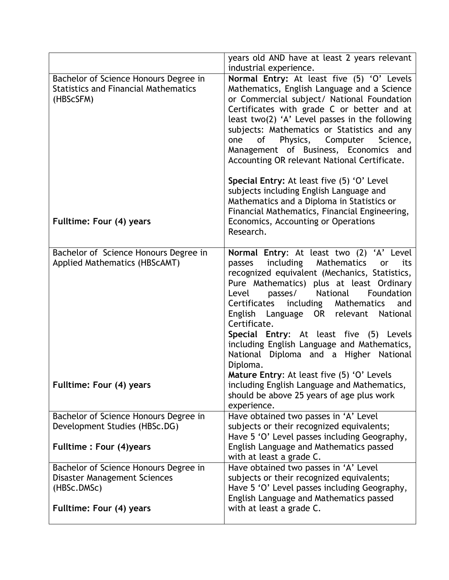| years old AND have at least 2 years relevant<br>industrial experience.                                                                                                                                                                                                                                                                                                                                                                                                                                                                                                  |
|-------------------------------------------------------------------------------------------------------------------------------------------------------------------------------------------------------------------------------------------------------------------------------------------------------------------------------------------------------------------------------------------------------------------------------------------------------------------------------------------------------------------------------------------------------------------------|
| Normal Entry: At least five (5) 'O' Levels<br>Mathematics, English Language and a Science<br>or Commercial subject/ National Foundation<br>Certificates with grade C or better and at<br>least two(2) 'A' Level passes in the following<br>subjects: Mathematics or Statistics and any<br>Physics,<br>Computer<br>of<br>Science,<br>one<br>Management of Business, Economics and<br>Accounting OR relevant National Certificate.<br>Special Entry: At least five (5) 'O' Level<br>subjects including English Language and<br>Mathematics and a Diploma in Statistics or |
| Financial Mathematics, Financial Engineering,<br>Economics, Accounting or Operations<br>Research.                                                                                                                                                                                                                                                                                                                                                                                                                                                                       |
| Normal Entry: At least two (2) 'A' Level<br>including<br>Mathematics<br>its<br>passes<br>or<br>recognized equivalent (Mechanics, Statistics,<br>Pure Mathematics) plus at least Ordinary<br>Foundation<br>passes/<br>National<br>Level<br>Certificates<br>including<br>Mathematics<br>and<br>English Language OR relevant<br>National<br>Certificate.<br>Special Entry: At least five (5) Levels<br>including English Language and Mathematics,<br>National Diploma and a Higher National<br>Diploma.<br>Mature Entry: At least five (5) 'O' Levels                     |
| including English Language and Mathematics,<br>should be above 25 years of age plus work<br>experience.                                                                                                                                                                                                                                                                                                                                                                                                                                                                 |
| Have obtained two passes in 'A' Level<br>subjects or their recognized equivalents;<br>Have 5 'O' Level passes including Geography,<br>English Language and Mathematics passed                                                                                                                                                                                                                                                                                                                                                                                           |
| with at least a grade C.                                                                                                                                                                                                                                                                                                                                                                                                                                                                                                                                                |
| Have obtained two passes in 'A' Level<br>subjects or their recognized equivalents;<br>Have 5 'O' Level passes including Geography,<br>English Language and Mathematics passed<br>with at least a grade C.                                                                                                                                                                                                                                                                                                                                                               |
|                                                                                                                                                                                                                                                                                                                                                                                                                                                                                                                                                                         |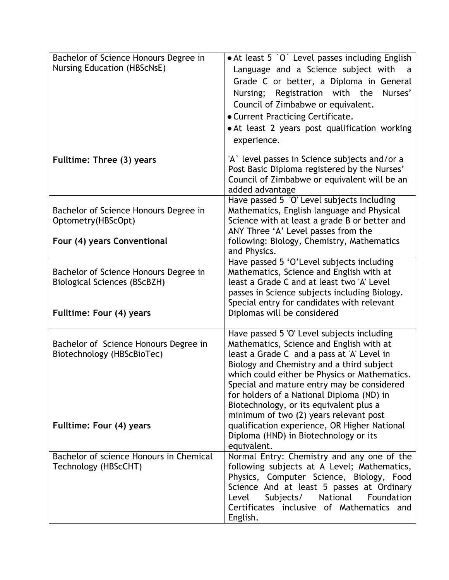| Bachelor of Science Honours Degree in                               | • At least 5 `O` Level passes including English                                            |
|---------------------------------------------------------------------|--------------------------------------------------------------------------------------------|
| <b>Nursing Education (HBScNsE)</b>                                  | Language and a Science subject with<br>a                                                   |
|                                                                     | Grade C or better, a Diploma in General                                                    |
|                                                                     | Nursing; Registration with the<br>Nurses'                                                  |
|                                                                     | Council of Zimbabwe or equivalent.                                                         |
|                                                                     |                                                                                            |
|                                                                     | <b>.</b> Current Practicing Certificate.                                                   |
|                                                                     | • At least 2 years post qualification working                                              |
|                                                                     | experience.                                                                                |
| Fulltime: Three (3) years                                           | 'A' level passes in Science subjects and/or a                                              |
|                                                                     | Post Basic Diploma registered by the Nurses'                                               |
|                                                                     | Council of Zimbabwe or equivalent will be an                                               |
|                                                                     | added advantage                                                                            |
|                                                                     | Have passed 5 'O' Level subjects including                                                 |
| Bachelor of Science Honours Degree in                               | Mathematics, English language and Physical                                                 |
| Optometry(HBScOpt)                                                  | Science with at least a grade B or better and                                              |
|                                                                     | ANY Three 'A' Level passes from the                                                        |
| Four (4) years Conventional                                         | following: Biology, Chemistry, Mathematics                                                 |
|                                                                     | and Physics.                                                                               |
|                                                                     | Have passed 5 'O'Level subjects including                                                  |
| Bachelor of Science Honours Degree in                               | Mathematics, Science and English with at                                                   |
| <b>Biological Sciences (BScBZH)</b>                                 | least a Grade C and at least two 'A' Level                                                 |
|                                                                     | passes in Science subjects including Biology.                                              |
|                                                                     | Special entry for candidates with relevant                                                 |
| Fulltime: Four (4) years                                            | Diplomas will be considered                                                                |
|                                                                     |                                                                                            |
|                                                                     | Have passed 5 'O' Level subjects including                                                 |
| Bachelor of Science Honours Degree in<br>Biotechnology (HBScBioTec) | Mathematics, Science and English with at                                                   |
|                                                                     | least a Grade C and a pass at 'A' Level in                                                 |
|                                                                     | Biology and Chemistry and a third subject<br>which could either be Physics or Mathematics. |
|                                                                     | Special and mature entry may be considered                                                 |
|                                                                     | for holders of a National Diploma (ND) in                                                  |
|                                                                     | Biotechnology, or its equivalent plus a                                                    |
|                                                                     | minimum of two (2) years relevant post                                                     |
| Fulltime: Four (4) years                                            | qualification experience, OR Higher National                                               |
|                                                                     | Diploma (HND) in Biotechnology or its                                                      |
|                                                                     | equivalent.                                                                                |
| Bachelor of science Honours in Chemical                             | Normal Entry: Chemistry and any one of the                                                 |
| Technology (HBScCHT)                                                | following subjects at A Level; Mathematics,                                                |
|                                                                     | Physics, Computer Science, Biology, Food                                                   |
|                                                                     | Science And at least 5 passes at Ordinary                                                  |
|                                                                     | National<br>Subjects/<br>Foundation<br>Level                                               |
|                                                                     | Certificates inclusive of Mathematics and                                                  |
|                                                                     | English.                                                                                   |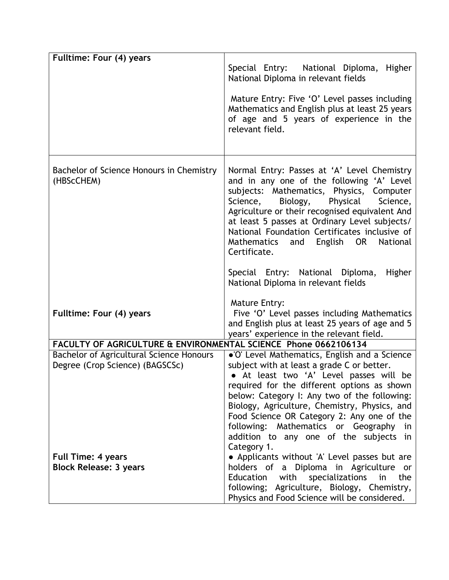| Fulltime: Four (4) years                                                    |                                                                                                                                                                                                                                                                                                                                                                                                                                            |
|-----------------------------------------------------------------------------|--------------------------------------------------------------------------------------------------------------------------------------------------------------------------------------------------------------------------------------------------------------------------------------------------------------------------------------------------------------------------------------------------------------------------------------------|
|                                                                             | Special Entry: National Diploma, Higher<br>National Diploma in relevant fields                                                                                                                                                                                                                                                                                                                                                             |
|                                                                             | Mature Entry: Five 'O' Level passes including<br>Mathematics and English plus at least 25 years<br>of age and 5 years of experience in the<br>relevant field.                                                                                                                                                                                                                                                                              |
| Bachelor of Science Honours in Chemistry<br>(HBScCHEM)                      | Normal Entry: Passes at 'A' Level Chemistry<br>and in any one of the following 'A' Level<br>subjects: Mathematics, Physics, Computer<br>Physical<br>Science,<br>Biology,<br>Science,<br>Agriculture or their recognised equivalent And<br>at least 5 passes at Ordinary Level subjects/<br>National Foundation Certificates inclusive of<br>Mathematics and English OR<br>National<br>Certificate.                                         |
|                                                                             | Special Entry: National Diploma,<br>Higher<br>National Diploma in relevant fields                                                                                                                                                                                                                                                                                                                                                          |
| Fulltime: Four (4) years                                                    | Mature Entry:<br>Five 'O' Level passes including Mathematics<br>and English plus at least 25 years of age and 5<br>years' experience in the relevant field.                                                                                                                                                                                                                                                                                |
| FACULTY OF AGRICULTURE & ENVIRONMENTAL SCIENCE Phone 0662106134             |                                                                                                                                                                                                                                                                                                                                                                                                                                            |
| Bachelor of Agricultural Science Honours<br>Degree (Crop Science) (BAGSCSc) | . O' Level Mathematics, English and a Science<br>subject with at least a grade C or better.<br>• At least two 'A' Level passes will be<br>required for the different options as shown<br>below: Category I: Any two of the following:<br>Biology, Agriculture, Chemistry, Physics, and<br>Food Science OR Category 2: Any one of the<br>following: Mathematics or Geography<br>in<br>addition to any one of the subjects in<br>Category 1. |
| <b>Full Time: 4 years</b><br><b>Block Release: 3 years</b>                  | • Applicants without 'A' Level passes but are<br>holders of a Diploma in Agriculture or<br>Education with<br>specializations<br>in<br>the<br>following; Agriculture, Biology, Chemistry,<br>Physics and Food Science will be considered.                                                                                                                                                                                                   |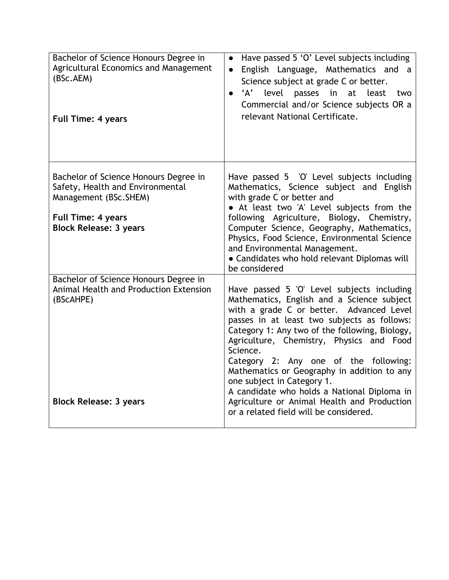| Bachelor of Science Honours Degree in<br>Agricultural Economics and Management<br>(BSc.AEM)<br><b>Full Time: 4 years</b>                                         | Have passed 5 'O' Level subjects including<br>$\bullet$<br>English Language, Mathematics and<br>a<br>Science subject at grade C or better.<br>'A'<br>level passes in at least<br>two<br>$\bullet$<br>Commercial and/or Science subjects OR a<br>relevant National Certificate.                                                                                                                                                                                                                                                                              |
|------------------------------------------------------------------------------------------------------------------------------------------------------------------|-------------------------------------------------------------------------------------------------------------------------------------------------------------------------------------------------------------------------------------------------------------------------------------------------------------------------------------------------------------------------------------------------------------------------------------------------------------------------------------------------------------------------------------------------------------|
| Bachelor of Science Honours Degree in<br>Safety, Health and Environmental<br>Management (BSc.SHEM)<br><b>Full Time: 4 years</b><br><b>Block Release: 3 years</b> | Have passed 5 'O' Level subjects including<br>Mathematics, Science subject and English<br>with grade C or better and<br>• At least two 'A' Level subjects from the<br>following Agriculture, Biology, Chemistry,<br>Computer Science, Geography, Mathematics,<br>Physics, Food Science, Environmental Science<br>and Environmental Management.<br>• Candidates who hold relevant Diplomas will<br>be considered                                                                                                                                             |
| Bachelor of Science Honours Degree in<br>Animal Health and Production Extension<br>(BScAHPE)<br><b>Block Release: 3 years</b>                                    | Have passed 5 'O' Level subjects including<br>Mathematics, English and a Science subject<br>with a grade C or better. Advanced Level<br>passes in at least two subjects as follows:<br>Category 1: Any two of the following, Biology,<br>Agriculture, Chemistry, Physics and Food<br>Science.<br>Category 2: Any one of the following:<br>Mathematics or Geography in addition to any<br>one subject in Category 1.<br>A candidate who holds a National Diploma in<br>Agriculture or Animal Health and Production<br>or a related field will be considered. |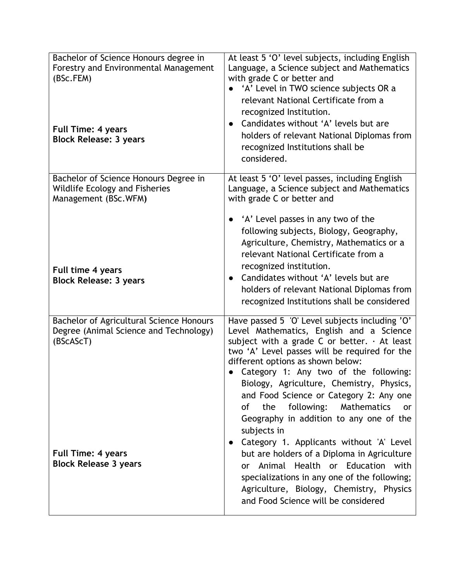| Bachelor of Science Honours degree in<br>Forestry and Environmental Management<br>(BSc.FEM)<br><b>Full Time: 4 years</b><br><b>Block Release: 3 years</b> | At least 5 'O' level subjects, including English<br>Language, a Science subject and Mathematics<br>with grade C or better and<br>'A' Level in TWO science subjects OR a<br>relevant National Certificate from a<br>recognized Institution.<br>Candidates without 'A' levels but are<br>$\bullet$<br>holders of relevant National Diplomas from<br>recognized Institutions shall be<br>considered.                                                                                                                                    |
|-----------------------------------------------------------------------------------------------------------------------------------------------------------|--------------------------------------------------------------------------------------------------------------------------------------------------------------------------------------------------------------------------------------------------------------------------------------------------------------------------------------------------------------------------------------------------------------------------------------------------------------------------------------------------------------------------------------|
| Bachelor of Science Honours Degree in<br>Wildlife Ecology and Fisheries<br>Management (BSc.WFM)                                                           | At least 5 'O' level passes, including English<br>Language, a Science subject and Mathematics<br>with grade C or better and                                                                                                                                                                                                                                                                                                                                                                                                          |
| Full time 4 years<br><b>Block Release: 3 years</b>                                                                                                        | • 'A' Level passes in any two of the<br>following subjects, Biology, Geography,<br>Agriculture, Chemistry, Mathematics or a<br>relevant National Certificate from a<br>recognized institution.<br>Candidates without 'A' levels but are<br>holders of relevant National Diplomas from<br>recognized Institutions shall be considered                                                                                                                                                                                                 |
| Bachelor of Agricultural Science Honours<br>Degree (Animal Science and Technology)<br>(BScAScT)                                                           | Have passed 5 'O' Level subjects including 'O'<br>Level Mathematics, English and a Science<br>subject with a grade C or better. $\cdot$ At least<br>two 'A' Level passes will be required for the<br>different options as shown below:<br>Category 1: Any two of the following:<br>Biology, Agriculture, Chemistry, Physics,<br>and Food Science or Category 2: Any one<br>following:<br>Mathematics<br>the<br>0f<br><b>or</b><br>Geography in addition to any one of the<br>subjects in<br>Category 1. Applicants without 'A' Level |
| <b>Full Time: 4 years</b><br><b>Block Release 3 years</b>                                                                                                 | but are holders of a Diploma in Agriculture<br>Animal Health or Education with<br><b>or</b><br>specializations in any one of the following;<br>Agriculture, Biology, Chemistry, Physics<br>and Food Science will be considered                                                                                                                                                                                                                                                                                                       |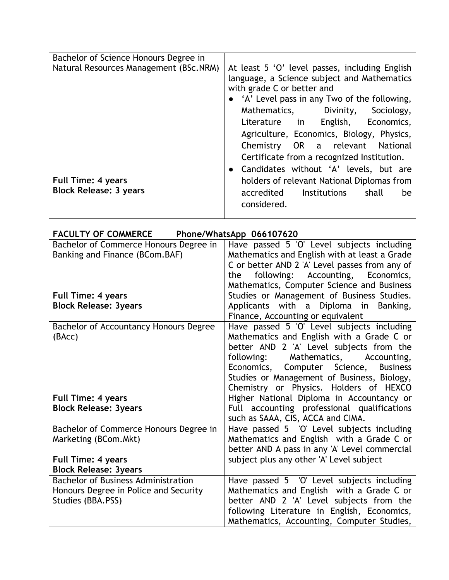| Bachelor of Science Honours Degree in                                                                |                                                                                                                                                                                                                                                                                                                                                                                                                                                                                                                                             |
|------------------------------------------------------------------------------------------------------|---------------------------------------------------------------------------------------------------------------------------------------------------------------------------------------------------------------------------------------------------------------------------------------------------------------------------------------------------------------------------------------------------------------------------------------------------------------------------------------------------------------------------------------------|
| Natural Resources Management (BSc.NRM)<br><b>Full Time: 4 years</b><br><b>Block Release: 3 years</b> | At least 5 'O' level passes, including English<br>language, a Science subject and Mathematics<br>with grade C or better and<br>'A' Level pass in any Two of the following,<br>Mathematics,<br>Divinity,<br>Sociology,<br>English, Economics,<br>Literature in<br>Agriculture, Economics, Biology, Physics,<br>Chemistry OR a relevant<br>National<br>Certificate from a recognized Institution.<br>Candidates without 'A' levels, but are<br>holders of relevant National Diplomas from<br>accredited<br><b>Institutions</b><br>shall<br>be |
|                                                                                                      | considered.                                                                                                                                                                                                                                                                                                                                                                                                                                                                                                                                 |
| <b>FACULTY OF COMMERCE</b>                                                                           | Phone/WhatsApp 066107620                                                                                                                                                                                                                                                                                                                                                                                                                                                                                                                    |
| Bachelor of Commerce Honours Degree in                                                               | Have passed 5 'O' Level subjects including                                                                                                                                                                                                                                                                                                                                                                                                                                                                                                  |
| Banking and Finance (BCom.BAF)                                                                       | Mathematics and English with at least a Grade                                                                                                                                                                                                                                                                                                                                                                                                                                                                                               |
|                                                                                                      | C or better AND 2 'A' Level passes from any of                                                                                                                                                                                                                                                                                                                                                                                                                                                                                              |
|                                                                                                      | following: Accounting, Economics,<br>the                                                                                                                                                                                                                                                                                                                                                                                                                                                                                                    |
|                                                                                                      | Mathematics, Computer Science and Business                                                                                                                                                                                                                                                                                                                                                                                                                                                                                                  |
| <b>Full Time: 4 years</b>                                                                            | Studies or Management of Business Studies.                                                                                                                                                                                                                                                                                                                                                                                                                                                                                                  |
| <b>Block Release: 3years</b>                                                                         | Applicants with a Diploma in Banking,                                                                                                                                                                                                                                                                                                                                                                                                                                                                                                       |
|                                                                                                      | Finance, Accounting or equivalent                                                                                                                                                                                                                                                                                                                                                                                                                                                                                                           |
| Bachelor of Accountancy Honours Degree                                                               | Have passed 5 'O' Level subjects including                                                                                                                                                                                                                                                                                                                                                                                                                                                                                                  |
| (BAcc)                                                                                               | Mathematics and English with a Grade C or                                                                                                                                                                                                                                                                                                                                                                                                                                                                                                   |
|                                                                                                      | better AND 2 'A' Level subjects from the                                                                                                                                                                                                                                                                                                                                                                                                                                                                                                    |
|                                                                                                      | following:<br>Mathematics,<br>Accounting,                                                                                                                                                                                                                                                                                                                                                                                                                                                                                                   |
|                                                                                                      | Economics, Computer Science,<br><b>Business</b>                                                                                                                                                                                                                                                                                                                                                                                                                                                                                             |
|                                                                                                      | Studies or Management of Business, Biology,                                                                                                                                                                                                                                                                                                                                                                                                                                                                                                 |
|                                                                                                      | Chemistry or Physics. Holders of HEXCO                                                                                                                                                                                                                                                                                                                                                                                                                                                                                                      |
| <b>Full Time: 4 years</b>                                                                            | Higher National Diploma in Accountancy or                                                                                                                                                                                                                                                                                                                                                                                                                                                                                                   |
| <b>Block Release: 3years</b>                                                                         | Full accounting professional qualifications                                                                                                                                                                                                                                                                                                                                                                                                                                                                                                 |
|                                                                                                      | such as SAAA, CIS, ACCA and CIMA.                                                                                                                                                                                                                                                                                                                                                                                                                                                                                                           |
| Bachelor of Commerce Honours Degree in                                                               | Have passed 5 'O' Level subjects including                                                                                                                                                                                                                                                                                                                                                                                                                                                                                                  |
| Marketing (BCom.Mkt)                                                                                 | Mathematics and English with a Grade C or                                                                                                                                                                                                                                                                                                                                                                                                                                                                                                   |
|                                                                                                      | better AND A pass in any 'A' Level commercial                                                                                                                                                                                                                                                                                                                                                                                                                                                                                               |
| <b>Full Time: 4 years</b><br><b>Block Release: 3years</b>                                            | subject plus any other 'A' Level subject                                                                                                                                                                                                                                                                                                                                                                                                                                                                                                    |
| <b>Bachelor of Business Administration</b>                                                           | Have passed 5 'O' Level subjects including                                                                                                                                                                                                                                                                                                                                                                                                                                                                                                  |
| Honours Degree in Police and Security                                                                | Mathematics and English with a Grade C or                                                                                                                                                                                                                                                                                                                                                                                                                                                                                                   |
| Studies (BBA.PSS)                                                                                    | better AND 2 'A' Level subjects from the                                                                                                                                                                                                                                                                                                                                                                                                                                                                                                    |
|                                                                                                      | following Literature in English, Economics,                                                                                                                                                                                                                                                                                                                                                                                                                                                                                                 |
|                                                                                                      | Mathematics, Accounting, Computer Studies,                                                                                                                                                                                                                                                                                                                                                                                                                                                                                                  |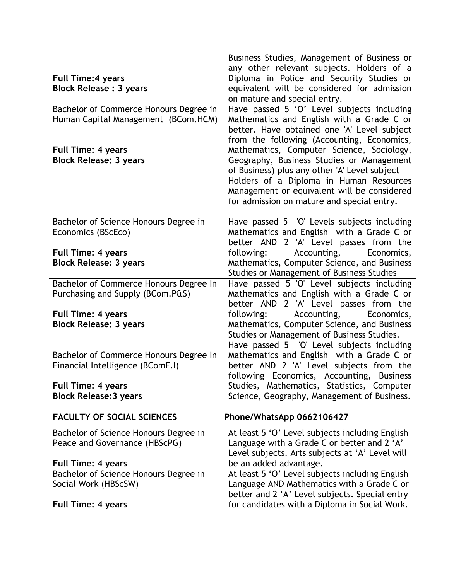|                                        | Business Studies, Management of Business or      |
|----------------------------------------|--------------------------------------------------|
|                                        | any other relevant subjects. Holders of a        |
| <b>Full Time: 4 years</b>              | Diploma in Police and Security Studies or        |
| <b>Block Release : 3 years</b>         | equivalent will be considered for admission      |
|                                        | on mature and special entry.                     |
| Bachelor of Commerce Honours Degree in | Have passed 5 'O' Level subjects including       |
| Human Capital Management (BCom.HCM)    | Mathematics and English with a Grade C or        |
|                                        | better. Have obtained one 'A' Level subject      |
|                                        | from the following (Accounting, Economics,       |
| <b>Full Time: 4 years</b>              | Mathematics, Computer Science, Sociology,        |
| <b>Block Release: 3 years</b>          | Geography, Business Studies or Management        |
|                                        | of Business) plus any other 'A' Level subject    |
|                                        | Holders of a Diploma in Human Resources          |
|                                        | Management or equivalent will be considered      |
|                                        | for admission on mature and special entry.       |
|                                        |                                                  |
| Bachelor of Science Honours Degree in  | Have passed 5 'O' Levels subjects including      |
| Economics (BScEco)                     | Mathematics and English with a Grade C or        |
|                                        | better AND 2 'A' Level passes from the           |
| <b>Full Time: 4 years</b>              | Accounting,<br>following:<br>Economics,          |
| <b>Block Release: 3 years</b>          | Mathematics, Computer Science, and Business      |
|                                        | <b>Studies or Management of Business Studies</b> |
| Bachelor of Commerce Honours Degree In | Have passed 5 'O' Level subjects including       |
| Purchasing and Supply (BCom.P&S)       | Mathematics and English with a Grade C or        |
|                                        | better AND 2 'A' Level passes from the           |
| <b>Full Time: 4 years</b>              | following:<br>Accounting,<br>Economics,          |
| <b>Block Release: 3 years</b>          | Mathematics, Computer Science, and Business      |
|                                        | Studies or Management of Business Studies.       |
|                                        | Have passed 5 'O' Level subjects including       |
| Bachelor of Commerce Honours Degree In | Mathematics and English with a Grade C or        |
| Financial Intelligence (BComF.I)       | better AND 2 'A' Level subjects from the         |
|                                        | following Economics, Accounting, Business        |
| <b>Full Time: 4 years</b>              | Studies, Mathematics, Statistics, Computer       |
| <b>Block Release: 3 years</b>          | Science, Geography, Management of Business.      |
|                                        |                                                  |
| <b>FACULTY OF SOCIAL SCIENCES</b>      | Phone/WhatsApp 0662106427                        |
| Bachelor of Science Honours Degree in  | At least 5 'O' Level subjects including English  |
| Peace and Governance (HBScPG)          | Language with a Grade C or better and 2 'A'      |
|                                        | Level subjects. Arts subjects at 'A' Level will  |
| <b>Full Time: 4 years</b>              | be an added advantage.                           |
| Bachelor of Science Honours Degree in  | At least 5 'O' Level subjects including English  |
| Social Work (HBScSW)                   | Language AND Mathematics with a Grade C or       |
|                                        | better and 2 'A' Level subjects. Special entry   |
| <b>Full Time: 4 years</b>              | for candidates with a Diploma in Social Work.    |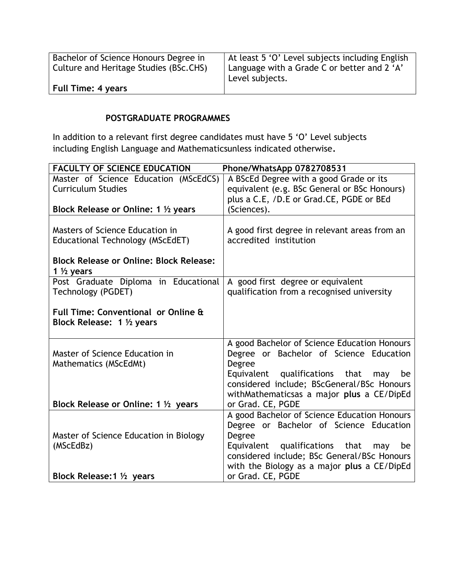| Bachelor of Science Honours Degree in<br>Culture and Heritage Studies (BSc.CHS) | At least 5 'O' Level subjects including English<br>  Language with a Grade C or better and 2 'A'<br>Level subjects. |
|---------------------------------------------------------------------------------|---------------------------------------------------------------------------------------------------------------------|
| <b>Full Time: 4 years</b>                                                       |                                                                                                                     |

## **POSTGRADUATE PROGRAMMES**

In addition to a relevant first degree candidates must have 5 'O' Level subjects including English Language and Mathematicsunless indicated otherwise**.**

| <b>FACULTY OF SCIENCE EDUCATION</b>            | Phone/WhatsApp 0782708531                     |
|------------------------------------------------|-----------------------------------------------|
| Master of Science Education (MScEdCS)          | A BScEd Degree with a good Grade or its       |
| <b>Curriculum Studies</b>                      | equivalent (e.g. BSc General or BSc Honours)  |
|                                                | plus a C.E, /D.E or Grad.CE, PGDE or BEd      |
| Block Release or Online: 1 1/2 years           | (Sciences).                                   |
|                                                |                                               |
| Masters of Science Education in                | A good first degree in relevant areas from an |
| Educational Technology (MScEdET)               | accredited institution                        |
|                                                |                                               |
| <b>Block Release or Online: Block Release:</b> |                                               |
| 1 $\frac{1}{2}$ years                          |                                               |
| Post Graduate Diploma in Educational           | A good first degree or equivalent             |
| Technology (PGDET)                             | qualification from a recognised university    |
|                                                |                                               |
| Full Time: Conventional or Online &            |                                               |
| Block Release: 1 1/2 years                     |                                               |
|                                                | A good Bachelor of Science Education Honours  |
| Master of Science Education in                 | Degree or Bachelor of Science Education       |
| Mathematics (MScEdMt)                          | Degree                                        |
|                                                | Equivalent qualifications that<br>may<br>be   |
|                                                | considered include; BScGeneral/BSc Honours    |
|                                                | withMathematicsas a major plus a CE/DipEd     |
| Block Release or Online: 1 1/2 years           | or Grad. CE, PGDE                             |
|                                                | A good Bachelor of Science Education Honours  |
|                                                | Degree or Bachelor of Science Education       |
| Master of Science Education in Biology         | Degree                                        |
| (MScEdBz)                                      | Equivalent qualifications that<br>be<br>may   |
|                                                | considered include; BSc General/BSc Honours   |
|                                                | with the Biology as a major plus a CE/DipEd   |
| Block Release: 1 1/2 years                     | or Grad. CE, PGDE                             |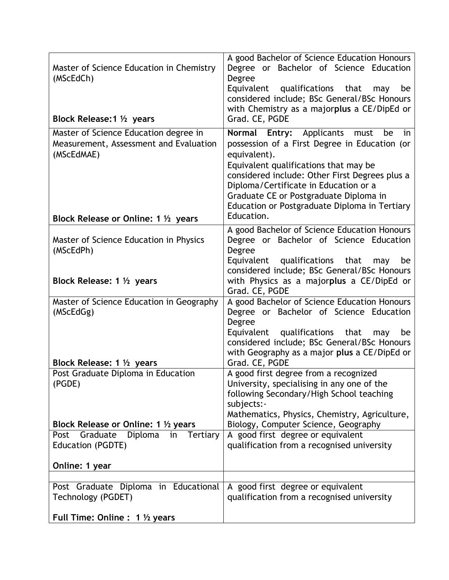| Master of Science Education in Chemistry<br>(MScEdCh)<br>Block Release: 1 1/2 years                                                   | A good Bachelor of Science Education Honours<br>Degree or Bachelor of Science Education<br>Degree<br>Equivalent qualifications that<br>may<br>be<br>considered include; BSc General/BSc Honours<br>with Chemistry as a majorplus a CE/DipEd or<br>Grad. CE, PGDE                                                                                           |
|---------------------------------------------------------------------------------------------------------------------------------------|------------------------------------------------------------------------------------------------------------------------------------------------------------------------------------------------------------------------------------------------------------------------------------------------------------------------------------------------------------|
| Master of Science Education degree in<br>Measurement, Assessment and Evaluation<br>(MScEdMAE)<br>Block Release or Online: 1 1/2 years | Normal Entry: Applicants<br>must<br>be<br>in<br>possession of a First Degree in Education (or<br>equivalent).<br>Equivalent qualifications that may be<br>considered include: Other First Degrees plus a<br>Diploma/Certificate in Education or a<br>Graduate CE or Postgraduate Diploma in<br>Education or Postgraduate Diploma in Tertiary<br>Education. |
|                                                                                                                                       | A good Bachelor of Science Education Honours                                                                                                                                                                                                                                                                                                               |
| Master of Science Education in Physics<br>(MScEdPh)                                                                                   | Degree or Bachelor of Science Education<br>Degree<br>Equivalent qualifications<br>that<br>be<br>may<br>considered include; BSc General/BSc Honours                                                                                                                                                                                                         |
| Block Release: 1 1/2 years                                                                                                            | with Physics as a majorplus a CE/DipEd or<br>Grad. CE, PGDE                                                                                                                                                                                                                                                                                                |
| Master of Science Education in Geography<br>(MScEdGg)                                                                                 | A good Bachelor of Science Education Honours<br>Degree or Bachelor of Science Education<br>Degree<br>Equivalent qualifications that<br>be<br>may<br>considered include; BSc General/BSc Honours<br>with Geography as a major plus a CE/DipEd or                                                                                                            |
| Block Release: 1 1/2 years                                                                                                            | Grad. CE, PGDE                                                                                                                                                                                                                                                                                                                                             |
| Post Graduate Diploma in Education<br>(PGDE)                                                                                          | A good first degree from a recognized<br>University, specialising in any one of the<br>following Secondary/High School teaching<br>subjects:-<br>Mathematics, Physics, Chemistry, Agriculture,                                                                                                                                                             |
| Block Release or Online: 1 1/2 years                                                                                                  | Biology, Computer Science, Geography                                                                                                                                                                                                                                                                                                                       |
| Diploma<br>Graduate<br>Post<br>in<br>Tertiary<br>Education (PGDTE)<br>Online: 1 year                                                  | A good first degree or equivalent<br>qualification from a recognised university                                                                                                                                                                                                                                                                            |
|                                                                                                                                       |                                                                                                                                                                                                                                                                                                                                                            |
| Post Graduate Diploma in Educational<br>Technology (PGDET)                                                                            | A good first degree or equivalent<br>qualification from a recognised university                                                                                                                                                                                                                                                                            |
| Full Time: Online : 1 1/2 years                                                                                                       |                                                                                                                                                                                                                                                                                                                                                            |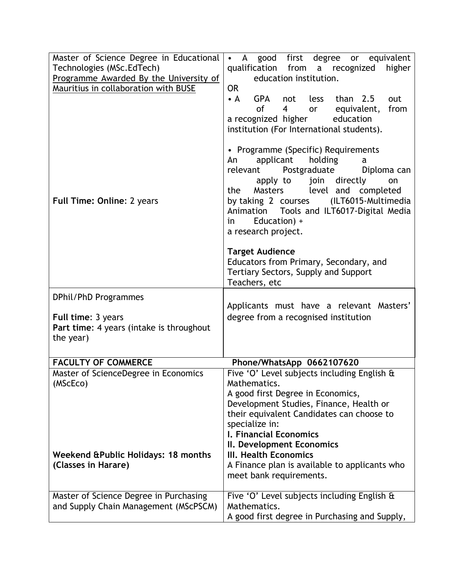| Master of Science Degree in Educational                                                                         | • A good first degree<br>equivalent<br>or                                                                                                                                                                                                                                                                                                                                                                                     |
|-----------------------------------------------------------------------------------------------------------------|-------------------------------------------------------------------------------------------------------------------------------------------------------------------------------------------------------------------------------------------------------------------------------------------------------------------------------------------------------------------------------------------------------------------------------|
| Technologies (MSc.EdTech)                                                                                       | qualification from a recognized<br>higher                                                                                                                                                                                                                                                                                                                                                                                     |
| Programme Awarded By the University of                                                                          | education institution.                                                                                                                                                                                                                                                                                                                                                                                                        |
| Mauritius in collaboration with BUSE                                                                            | <b>OR</b>                                                                                                                                                                                                                                                                                                                                                                                                                     |
| <b>Full Time: Online: 2 years</b>                                                                               | less than 2.5<br>$\bullet$ A<br>GPA<br>not<br>out<br>of<br>$\overline{4}$<br>from<br>or equivalent,<br>a recognized higher<br>education<br>institution (For International students).<br>• Programme (Specific) Requirements<br>applicant<br>holding<br>An<br>a<br>Postgraduate<br>relevant<br>Diploma can<br>apply to join directly<br>on<br>level and completed<br>Masters<br>the<br>by taking 2 courses (ILT6015-Multimedia |
|                                                                                                                 | Tools and ILT6017-Digital Media<br>Animation<br>Education) +<br>in.<br>a research project.                                                                                                                                                                                                                                                                                                                                    |
|                                                                                                                 | <b>Target Audience</b><br>Educators from Primary, Secondary, and<br>Tertiary Sectors, Supply and Support<br>Teachers, etc                                                                                                                                                                                                                                                                                                     |
| DPhil/PhD Programmes                                                                                            |                                                                                                                                                                                                                                                                                                                                                                                                                               |
| Full time: 3 years<br>Part time: 4 years (intake is throughout<br>the year)                                     | Applicants must have a relevant Masters'<br>degree from a recognised institution                                                                                                                                                                                                                                                                                                                                              |
| <b>FACULTY OF COMMERCE</b>                                                                                      | Phone/WhatsApp 0662107620                                                                                                                                                                                                                                                                                                                                                                                                     |
| Master of ScienceDegree in Economics<br>(MScEco)<br>Weekend & Public Holidays: 18 months<br>(Classes in Harare) | Five 'O' Level subjects including English &<br>Mathematics.<br>A good first Degree in Economics,<br>Development Studies, Finance, Health or<br>their equivalent Candidates can choose to<br>specialize in:<br>I. Financial Economics<br>II. Development Economics<br>III. Health Economics<br>A Finance plan is available to applicants who<br>meet bank requirements.                                                        |
|                                                                                                                 |                                                                                                                                                                                                                                                                                                                                                                                                                               |
| Master of Science Degree in Purchasing<br>and Supply Chain Management (MScPSCM)                                 | Five 'O' Level subjects including English &<br>Mathematics.<br>A good first degree in Purchasing and Supply,                                                                                                                                                                                                                                                                                                                  |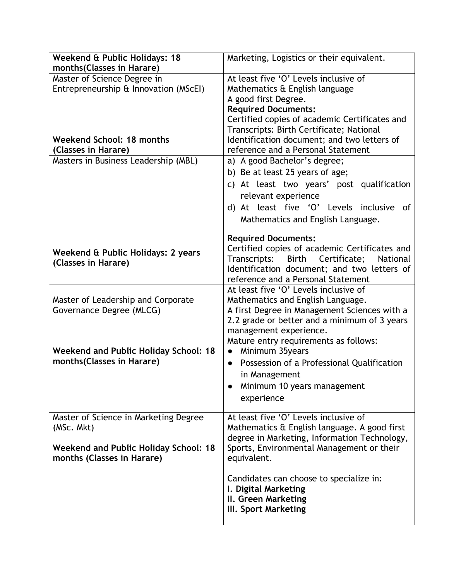| Weekend & Public Holidays: 18                | Marketing, Logistics or their equivalent.      |
|----------------------------------------------|------------------------------------------------|
| months(Classes in Harare)                    |                                                |
| Master of Science Degree in                  | At least five 'O' Levels inclusive of          |
| Entrepreneurship & Innovation (MScEI)        | Mathematics & English language                 |
|                                              | A good first Degree.                           |
|                                              | <b>Required Documents:</b>                     |
|                                              | Certified copies of academic Certificates and  |
|                                              | Transcripts: Birth Certificate; National       |
| Weekend School: 18 months                    | Identification document; and two letters of    |
| (Classes in Harare)                          | reference and a Personal Statement             |
| Masters in Business Leadership (MBL)         | a) A good Bachelor's degree;                   |
|                                              | b) Be at least 25 years of age;                |
|                                              | c) At least two years' post qualification      |
|                                              | relevant experience                            |
|                                              | d) At least five 'O' Levels inclusive of       |
|                                              |                                                |
|                                              | Mathematics and English Language.              |
|                                              | <b>Required Documents:</b>                     |
|                                              | Certified copies of academic Certificates and  |
| Weekend & Public Holidays: 2 years           | Transcripts:<br>Birth Certificate;<br>National |
| (Classes in Harare)                          | Identification document; and two letters of    |
|                                              | reference and a Personal Statement             |
|                                              | At least five 'O' Levels inclusive of          |
| Master of Leadership and Corporate           | Mathematics and English Language.              |
| Governance Degree (MLCG)                     | A first Degree in Management Sciences with a   |
|                                              | 2.2 grade or better and a minimum of 3 years   |
|                                              | management experience.                         |
|                                              | Mature entry requirements as follows:          |
| <b>Weekend and Public Holiday School: 18</b> | Minimum 35years<br>$\bullet$                   |
| months(Classes in Harare)                    | Possession of a Professional Qualification     |
|                                              | in Management                                  |
|                                              | Minimum 10 years management                    |
|                                              |                                                |
|                                              | experience                                     |
| Master of Science in Marketing Degree        | At least five 'O' Levels inclusive of          |
| (MSc. Mkt)                                   | Mathematics & English language. A good first   |
|                                              | degree in Marketing, Information Technology,   |
| Weekend and Public Holiday School: 18        | Sports, Environmental Management or their      |
| months (Classes in Harare)                   | equivalent.                                    |
|                                              |                                                |
|                                              | Candidates can choose to specialize in:        |
|                                              | I. Digital Marketing                           |
|                                              |                                                |
|                                              |                                                |
|                                              | II. Green Marketing<br>III. Sport Marketing    |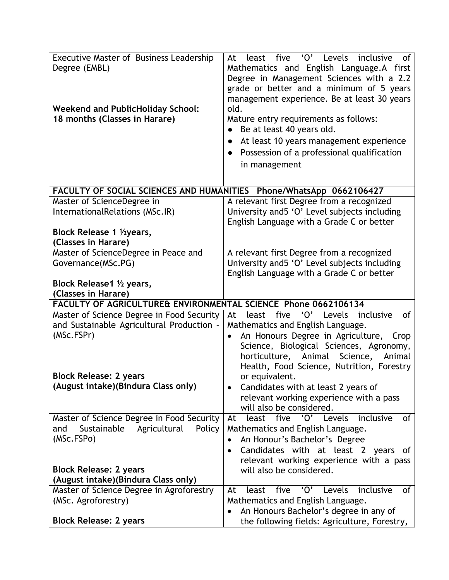| Executive Master of Business Leadership<br>Degree (EMBL)<br><b>Weekend and PublicHoliday School:</b><br>18 months (Classes in Harare) | five 'O' Levels<br>inclusive<br>At<br>least<br>0f<br>Mathematics and English Language.A first<br>Degree in Management Sciences with a 2.2<br>grade or better and a minimum of 5 years<br>management experience. Be at least 30 years<br>old.<br>Mature entry requirements as follows:<br>Be at least 40 years old.<br>At least 10 years management experience<br>$\bullet$ |
|---------------------------------------------------------------------------------------------------------------------------------------|----------------------------------------------------------------------------------------------------------------------------------------------------------------------------------------------------------------------------------------------------------------------------------------------------------------------------------------------------------------------------|
|                                                                                                                                       | Possession of a professional qualification<br>in management                                                                                                                                                                                                                                                                                                                |
| FACULTY OF SOCIAL SCIENCES AND HUMANITIES Phone/WhatsApp 0662106427                                                                   |                                                                                                                                                                                                                                                                                                                                                                            |
| Master of ScienceDegree in<br>InternationalRelations (MSc.IR)<br>Block Release 1 1/2 years,                                           | A relevant first Degree from a recognized<br>University and5 'O' Level subjects including<br>English Language with a Grade C or better                                                                                                                                                                                                                                     |
| (Classes in Harare)                                                                                                                   |                                                                                                                                                                                                                                                                                                                                                                            |
| Master of ScienceDegree in Peace and                                                                                                  | A relevant first Degree from a recognized                                                                                                                                                                                                                                                                                                                                  |
| Governance(MSc.PG)                                                                                                                    | University and5 'O' Level subjects including<br>English Language with a Grade C or better                                                                                                                                                                                                                                                                                  |
| Block Release1 1/2 years,                                                                                                             |                                                                                                                                                                                                                                                                                                                                                                            |
| (Classes in Harare)                                                                                                                   |                                                                                                                                                                                                                                                                                                                                                                            |
| FACULTY OF AGRICULTURE& ENVIRONMENTAL SCIENCE Phone 0662106134                                                                        |                                                                                                                                                                                                                                                                                                                                                                            |
| Master of Science Degree in Food Security                                                                                             | $\overline{O'}$ Levels<br>five<br>least<br>inclusive<br>At<br>0f                                                                                                                                                                                                                                                                                                           |
| and Sustainable Agricultural Production -                                                                                             | Mathematics and English Language.                                                                                                                                                                                                                                                                                                                                          |
| (MSc.FSPr)                                                                                                                            | An Honours Degree in Agriculture, Crop                                                                                                                                                                                                                                                                                                                                     |
|                                                                                                                                       | Science, Biological Sciences, Agronomy,                                                                                                                                                                                                                                                                                                                                    |
|                                                                                                                                       | Animal<br>Science,<br>horticulture,<br>Animal                                                                                                                                                                                                                                                                                                                              |
| <b>Block Release: 2 years</b>                                                                                                         | Health, Food Science, Nutrition, Forestry<br>or equivalent.                                                                                                                                                                                                                                                                                                                |
| (August intake)(Bindura Class only)                                                                                                   | Candidates with at least 2 years of                                                                                                                                                                                                                                                                                                                                        |
|                                                                                                                                       | relevant working experience with a pass                                                                                                                                                                                                                                                                                                                                    |
|                                                                                                                                       | will also be considered.                                                                                                                                                                                                                                                                                                                                                   |
| Master of Science Degree in Food Security<br>Sustainable<br>Agricultural<br>Policy<br>and                                             | 'O' Levels<br>five<br>inclusive<br>least<br>0f<br>At<br>Mathematics and English Language.                                                                                                                                                                                                                                                                                  |
| (MSc.FSPo)                                                                                                                            | An Honour's Bachelor's Degree                                                                                                                                                                                                                                                                                                                                              |
|                                                                                                                                       | Candidates with at least 2 years of<br>$\bullet$                                                                                                                                                                                                                                                                                                                           |
| <b>Block Release: 2 years</b>                                                                                                         | relevant working experience with a pass<br>will also be considered.                                                                                                                                                                                                                                                                                                        |
| (August intake)(Bindura Class only)                                                                                                   |                                                                                                                                                                                                                                                                                                                                                                            |
| Master of Science Degree in Agroforestry                                                                                              | five<br>$^{\prime}$ O'<br>inclusive<br>Levels<br>At<br>least<br>of                                                                                                                                                                                                                                                                                                         |
| (MSc. Agroforestry)                                                                                                                   | Mathematics and English Language.                                                                                                                                                                                                                                                                                                                                          |
|                                                                                                                                       | An Honours Bachelor's degree in any of<br>$\bullet$                                                                                                                                                                                                                                                                                                                        |
| <b>Block Release: 2 years</b>                                                                                                         | the following fields: Agriculture, Forestry,                                                                                                                                                                                                                                                                                                                               |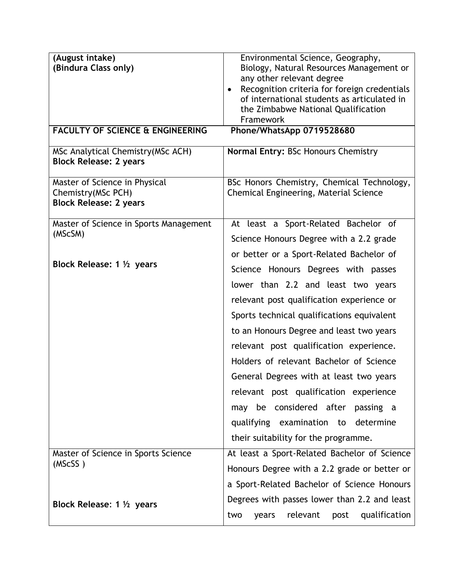| (August intake)<br>(Bindura Class only)<br><b>FACULTY OF SCIENCE &amp; ENGINEERING</b> | Environmental Science, Geography,<br>Biology, Natural Resources Management or<br>any other relevant degree<br>Recognition criteria for foreign credentials<br>of international students as articulated in<br>the Zimbabwe National Qualification<br>Framework<br>Phone/WhatsApp 0719528680 |
|----------------------------------------------------------------------------------------|--------------------------------------------------------------------------------------------------------------------------------------------------------------------------------------------------------------------------------------------------------------------------------------------|
| MSc Analytical Chemistry (MSc ACH)<br><b>Block Release: 2 years</b>                    | Normal Entry: BSc Honours Chemistry                                                                                                                                                                                                                                                        |
| Master of Science in Physical<br>Chemistry (MSc PCH)<br><b>Block Release: 2 years</b>  | BSc Honors Chemistry, Chemical Technology,<br>Chemical Engineering, Material Science                                                                                                                                                                                                       |
| Master of Science in Sports Management<br>(MScSM)                                      | At least a Sport-Related Bachelor of                                                                                                                                                                                                                                                       |
|                                                                                        | Science Honours Degree with a 2.2 grade                                                                                                                                                                                                                                                    |
| Block Release: $1\frac{1}{2}$ years                                                    | or better or a Sport-Related Bachelor of                                                                                                                                                                                                                                                   |
|                                                                                        | Science Honours Degrees with passes                                                                                                                                                                                                                                                        |
|                                                                                        | lower than 2.2 and least two years<br>relevant post qualification experience or                                                                                                                                                                                                            |
|                                                                                        | Sports technical qualifications equivalent                                                                                                                                                                                                                                                 |
|                                                                                        | to an Honours Degree and least two years                                                                                                                                                                                                                                                   |
|                                                                                        | relevant post qualification experience.                                                                                                                                                                                                                                                    |
|                                                                                        | Holders of relevant Bachelor of Science                                                                                                                                                                                                                                                    |
|                                                                                        | General Degrees with at least two years                                                                                                                                                                                                                                                    |
|                                                                                        | relevant post qualification experience                                                                                                                                                                                                                                                     |
|                                                                                        | may be considered after passing a                                                                                                                                                                                                                                                          |
|                                                                                        | qualifying examination to determine                                                                                                                                                                                                                                                        |
|                                                                                        | their suitability for the programme.                                                                                                                                                                                                                                                       |
| Master of Science in Sports Science<br>(MScSS)                                         | At least a Sport-Related Bachelor of Science                                                                                                                                                                                                                                               |
|                                                                                        | Honours Degree with a 2.2 grade or better or                                                                                                                                                                                                                                               |
|                                                                                        | a Sport-Related Bachelor of Science Honours                                                                                                                                                                                                                                                |
| Block Release: 1 1/2 years                                                             | Degrees with passes lower than 2.2 and least                                                                                                                                                                                                                                               |
|                                                                                        | relevant<br>years<br>post<br>qualification<br>two                                                                                                                                                                                                                                          |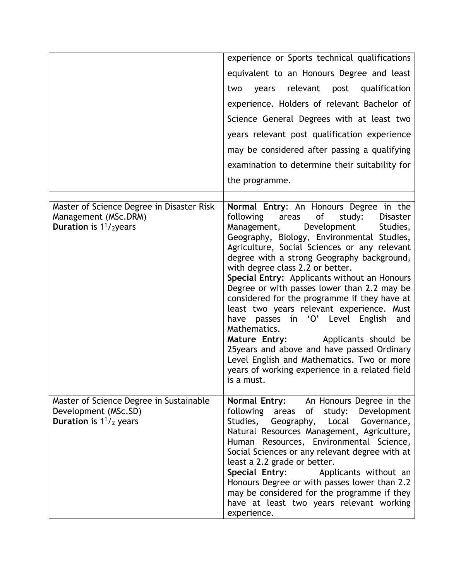|                                                                                                       | experience or Sports technical qualifications<br>equivalent to an Honours Degree and least<br>years relevant post qualification<br>two<br>experience. Holders of relevant Bachelor of<br>Science General Degrees with at least two<br>years relevant post qualification experience<br>may be considered after passing a qualifying<br>examination to determine their suitability for                                                                                                                                                                                                                                                                                                                                                                                            |
|-------------------------------------------------------------------------------------------------------|---------------------------------------------------------------------------------------------------------------------------------------------------------------------------------------------------------------------------------------------------------------------------------------------------------------------------------------------------------------------------------------------------------------------------------------------------------------------------------------------------------------------------------------------------------------------------------------------------------------------------------------------------------------------------------------------------------------------------------------------------------------------------------|
|                                                                                                       | the programme.                                                                                                                                                                                                                                                                                                                                                                                                                                                                                                                                                                                                                                                                                                                                                                  |
| Master of Science Degree in Disaster Risk<br>Management (MSc.DRM)<br><b>Duration</b> is $1^1$ /2years | Normal Entry: An Honours Degree in the<br>of<br>following<br>areas<br>study:<br><b>Disaster</b><br>Studies,<br>Management,<br>Development<br>Geography, Biology, Environmental Studies,<br>Agriculture, Social Sciences or any relevant<br>degree with a strong Geography background,<br>with degree class 2.2 or better.<br>Special Entry: Applicants without an Honours<br>Degree or with passes lower than 2.2 may be<br>considered for the programme if they have at<br>least two years relevant experience. Must<br>have passes in 'O' Level English and<br>Mathematics.<br>Mature Entry: Applicants should be<br>25years and above and have passed Ordinary<br>Level English and Mathematics. Two or more<br>years of working experience in a related field<br>is a must. |
| Master of Science Degree in Sustainable<br>Development (MSc.SD)<br><b>Duration</b> is $1^{1}/2$ years | Normal Entry: An Honours Degree in the<br>following areas<br>of study: Development<br>Studies, Geography, Local Governance,<br>Natural Resources Management, Agriculture,<br>Human Resources, Environmental Science,<br>Social Sciences or any relevant degree with at<br>least a 2.2 grade or better.<br>Special Entry:<br>Applicants without an<br>Honours Degree or with passes lower than 2.2<br>may be considered for the programme if they<br>have at least two years relevant working<br>experience.                                                                                                                                                                                                                                                                     |